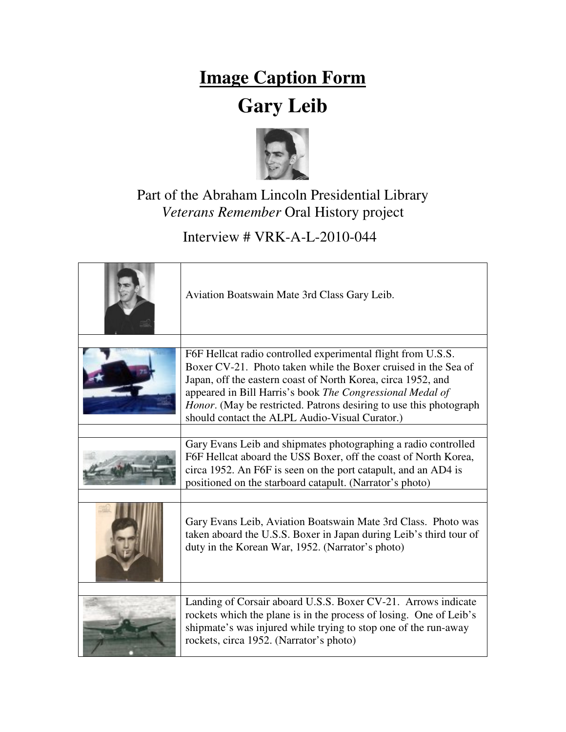## **Image Caption Form**

## **Gary Leib**



## Part of the Abraham Lincoln Presidential Library *Veterans Remember* Oral History project

Interview # VRK-A-L-2010-044

| Aviation Boatswain Mate 3rd Class Gary Leib.                                                                                                                                                                                                                                                                                                                                        |
|-------------------------------------------------------------------------------------------------------------------------------------------------------------------------------------------------------------------------------------------------------------------------------------------------------------------------------------------------------------------------------------|
| F6F Hellcat radio controlled experimental flight from U.S.S.<br>Boxer CV-21. Photo taken while the Boxer cruised in the Sea of<br>Japan, off the eastern coast of North Korea, circa 1952, and<br>appeared in Bill Harris's book The Congressional Medal of<br>Honor. (May be restricted. Patrons desiring to use this photograph<br>should contact the ALPL Audio-Visual Curator.) |
| Gary Evans Leib and shipmates photographing a radio controlled<br>F6F Hellcat aboard the USS Boxer, off the coast of North Korea,<br>circa 1952. An F6F is seen on the port catapult, and an AD4 is<br>positioned on the starboard catapult. (Narrator's photo)                                                                                                                     |
| Gary Evans Leib, Aviation Boatswain Mate 3rd Class. Photo was<br>taken aboard the U.S.S. Boxer in Japan during Leib's third tour of<br>duty in the Korean War, 1952. (Narrator's photo)                                                                                                                                                                                             |
| Landing of Corsair aboard U.S.S. Boxer CV-21. Arrows indicate<br>rockets which the plane is in the process of losing. One of Leib's<br>shipmate's was injured while trying to stop one of the run-away<br>rockets, circa 1952. (Narrator's photo)                                                                                                                                   |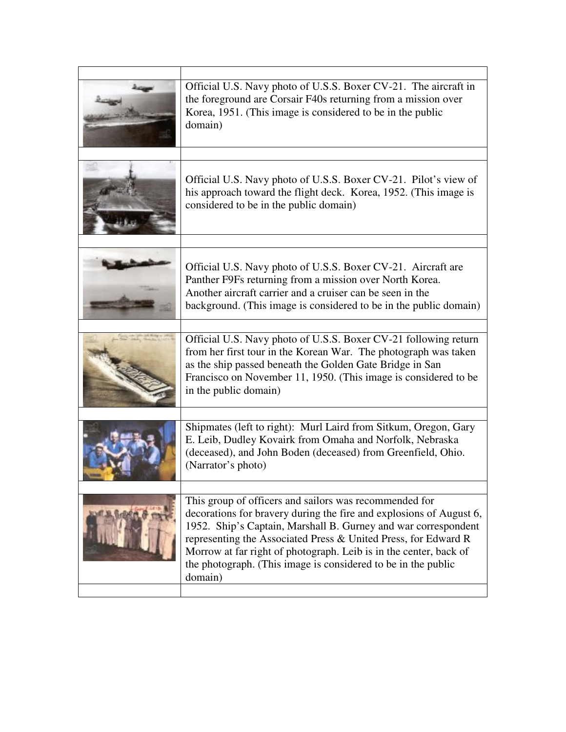| Official U.S. Navy photo of U.S.S. Boxer CV-21. The aircraft in<br>the foreground are Corsair F40s returning from a mission over<br>Korea, 1951. (This image is considered to be in the public<br>domain)                                                                                                                                                                                                          |
|--------------------------------------------------------------------------------------------------------------------------------------------------------------------------------------------------------------------------------------------------------------------------------------------------------------------------------------------------------------------------------------------------------------------|
|                                                                                                                                                                                                                                                                                                                                                                                                                    |
| Official U.S. Navy photo of U.S.S. Boxer CV-21. Pilot's view of<br>his approach toward the flight deck. Korea, 1952. (This image is<br>considered to be in the public domain)                                                                                                                                                                                                                                      |
|                                                                                                                                                                                                                                                                                                                                                                                                                    |
| Official U.S. Navy photo of U.S.S. Boxer CV-21. Aircraft are<br>Panther F9Fs returning from a mission over North Korea.<br>Another aircraft carrier and a cruiser can be seen in the<br>background. (This image is considered to be in the public domain)                                                                                                                                                          |
|                                                                                                                                                                                                                                                                                                                                                                                                                    |
| Official U.S. Navy photo of U.S.S. Boxer CV-21 following return<br>from her first tour in the Korean War. The photograph was taken<br>as the ship passed beneath the Golden Gate Bridge in San<br>Francisco on November 11, 1950. (This image is considered to be<br>in the public domain)                                                                                                                         |
|                                                                                                                                                                                                                                                                                                                                                                                                                    |
| Shipmates (left to right): Murl Laird from Sitkum, Oregon, Gary<br>E. Leib, Dudley Kovairk from Omaha and Norfolk, Nebraska<br>(deceased), and John Boden (deceased) from Greenfield, Ohio.<br>(Narrator's photo)                                                                                                                                                                                                  |
|                                                                                                                                                                                                                                                                                                                                                                                                                    |
| This group of officers and sailors was recommended for<br>decorations for bravery during the fire and explosions of August 6,<br>1952. Ship's Captain, Marshall B. Gurney and war correspondent<br>representing the Associated Press & United Press, for Edward R<br>Morrow at far right of photograph. Leib is in the center, back of<br>the photograph. (This image is considered to be in the public<br>domain) |
|                                                                                                                                                                                                                                                                                                                                                                                                                    |